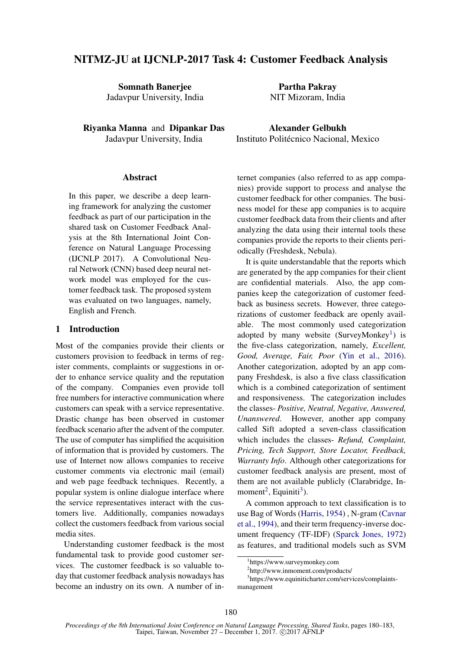# NITMZ-JU at IJCNLP-2017 Task 4: Customer Feedback Analysis

Somnath Banerjee Jadavpur University, India

Riyanka Manna and Dipankar Das Jadavpur University, India

### **Abstract**

In this paper, we describe a deep learning framework for analyzing the customer feedback as part of our participation in the shared task on Customer Feedback Analysis at the 8th International Joint Conference on Natural Language Processing (IJCNLP 2017). A Convolutional Neural Network (CNN) based deep neural network model was employed for the customer feedback task. The proposed system was evaluated on two languages, namely, English and French.

#### 1 Introduction

Most of the companies provide their clients or customers provision to feedback in terms of register comments, complaints or suggestions in order to enhance service quality and the reputation of the company. Companies even provide toll free numbers for interactive communication where customers can speak with a service representative. Drastic change has been observed in customer feedback scenario after the advent of the computer. The use of computer has simplified the acquisition of information that is provided by customers. The use of Internet now allows companies to receive customer comments via electronic mail (email) and web page feedback techniques. Recently, a popular system is online dialogue interface where the service representatives interact with the customers live. Additionally, companies nowadays collect the customers feedback from various social media sites.

Understanding customer feedback is the most fundamental task to provide good customer services. The customer feedback is so valuable today that customer feedback analysis nowadays has become an industry on its own. A number of in-

Partha Pakray NIT Mizoram, India

Alexander Gelbukh Instituto Politécnico Nacional, Mexico

ternet companies (also referred to as app companies) provide support to process and analyse the customer feedback for other companies. The business model for these app companies is to acquire customer feedback data from their clients and after analyzing the data using their internal tools these companies provide the reports to their clients periodically (Freshdesk, Nebula).

It is quite understandable that the reports which are generated by the app companies for their client are confidential materials. Also, the app companies keep the categorization of customer feedback as business secrets. However, three categorizations of customer feedback are openly available. The most commonly used categorization adopted by many website (SurveyMonkey<sup>1</sup>) is the five-class categorization, namely, *Excellent, Good, Average, Fair, Poor* (Yin et al., 2016). Another categorization, adopted by an app company Freshdesk, is also a five class classification which is a combined categorization of sentiment and responsiveness. The categorization includes the classes- *Positive, Neutral, Negative, Answered, Unanswered*. However, another app company called Sift adopted a seven-class classification which includes the classes- *Refund, Complaint, Pricing, Tech Support, Store Locator, Feedback, Warranty Info*. Although other categorizations for customer feedback analysis are present, most of them are not available publicly (Clarabridge, Inmoment<sup>2</sup>, Equiniti<sup>3</sup>).

A common approach to text classification is to use Bag of Words (Harris, 1954) , N-gram (Cavnar et al., 1994), and their term frequency-inverse document frequency (TF-IDF) (Sparck Jones, 1972) as features, and traditional models such as SVM

<sup>1</sup> https://www.surveymonkey.com

<sup>2</sup> http://www.inmoment.com/products/

<sup>3</sup> https://www.equiniticharter.com/services/complaintsmanagement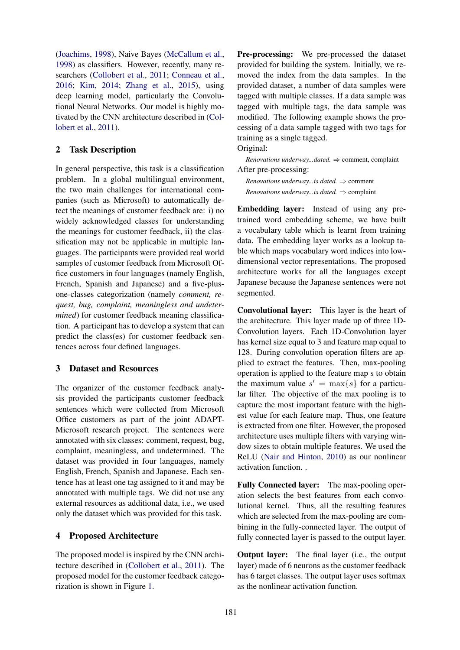(Joachims, 1998), Naive Bayes (McCallum et al., 1998) as classifiers. However, recently, many researchers (Collobert et al., 2011; Conneau et al., 2016; Kim, 2014; Zhang et al., 2015), using deep learning model, particularly the Convolutional Neural Networks. Our model is highly motivated by the CNN architecture described in (Collobert et al., 2011).

## 2 Task Description

In general perspective, this task is a classification problem. In a global multilingual environment, the two main challenges for international companies (such as Microsoft) to automatically detect the meanings of customer feedback are: i) no widely acknowledged classes for understanding the meanings for customer feedback, ii) the classification may not be applicable in multiple languages. The participants were provided real world samples of customer feedback from Microsoft Office customers in four languages (namely English, French, Spanish and Japanese) and a five-plusone-classes categorization (namely *comment, request, bug, complaint, meaningless and undetermined*) for customer feedback meaning classification. A participant has to develop a system that can predict the class(es) for customer feedback sentences across four defined languages.

### 3 Dataset and Resources

The organizer of the customer feedback analysis provided the participants customer feedback sentences which were collected from Microsoft Office customers as part of the joint ADAPT-Microsoft research project. The sentences were annotated with six classes: comment, request, bug, complaint, meaningless, and undetermined. The dataset was provided in four languages, namely English, French, Spanish and Japanese. Each sentence has at least one tag assigned to it and may be annotated with multiple tags. We did not use any external resources as additional data, i.e., we used only the dataset which was provided for this task.

## 4 Proposed Architecture

The proposed model is inspired by the CNN architecture described in (Collobert et al., 2011). The proposed model for the customer feedback categorization is shown in Figure 1.

Pre-processing: We pre-processed the dataset provided for building the system. Initially, we removed the index from the data samples. In the provided dataset, a number of data samples were tagged with multiple classes. If a data sample was tagged with multiple tags, the data sample was modified. The following example shows the processing of a data sample tagged with two tags for training as a single tagged.

Original:

*Renovations underway...dated.* ⇒ comment, complaint After pre-processing:

*Renovations underway...is dated.* ⇒ comment *Renovations underway...is dated.* ⇒ complaint

Embedding layer: Instead of using any pretrained word embedding scheme, we have built a vocabulary table which is learnt from training data. The embedding layer works as a lookup table which maps vocabulary word indices into lowdimensional vector representations. The proposed architecture works for all the languages except Japanese because the Japanese sentences were not segmented.

Convolutional layer: This layer is the heart of the architecture. This layer made up of three 1D-Convolution layers. Each 1D-Convolution layer has kernel size equal to 3 and feature map equal to 128. During convolution operation filters are applied to extract the features. Then, max-pooling operation is applied to the feature map s to obtain the maximum value  $s' = \max\{s\}$  for a particular filter. The objective of the max pooling is to capture the most important feature with the highest value for each feature map. Thus, one feature is extracted from one filter. However, the proposed architecture uses multiple filters with varying window sizes to obtain multiple features. We used the ReLU (Nair and Hinton, 2010) as our nonlinear activation function. .

Fully Connected layer: The max-pooling operation selects the best features from each convolutional kernel. Thus, all the resulting features which are selected from the max-pooling are combining in the fully-connected layer. The output of fully connected layer is passed to the output layer.

Output layer: The final layer (i.e., the output layer) made of 6 neurons as the customer feedback has 6 target classes. The output layer uses softmax as the nonlinear activation function.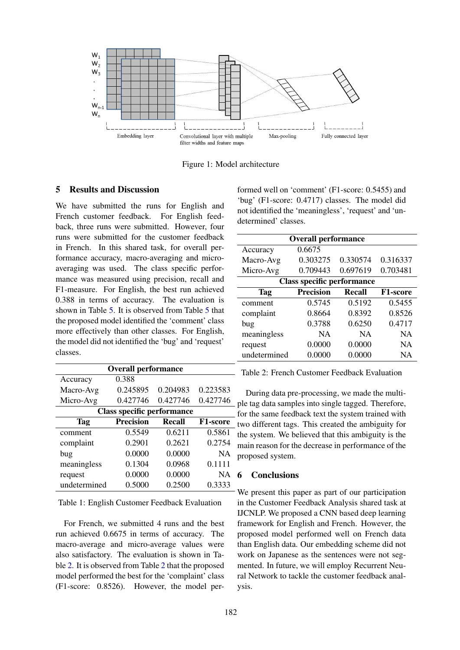

Figure 1: Model architecture

## 5 Results and Discussion

We have submitted the runs for English and French customer feedback. For English feedback, three runs were submitted. However, four runs were submitted for the customer feedback in French. In this shared task, for overall performance accuracy, macro-averaging and microaveraging was used. The class specific performance was measured using precision, recall and F1-measure. For English, the best run achieved 0.388 in terms of accuracy. The evaluation is shown in Table 5. It is observed from Table 5 that the proposed model identified the 'comment' class more effectively than other classes. For English, the model did not identified the 'bug' and 'request' classes.

| <b>Overall performance</b>        |                  |               |           |  |
|-----------------------------------|------------------|---------------|-----------|--|
| Accuracy                          | 0.388            |               |           |  |
| Macro-Avg                         | 0.245895         | 0.204983      | 0.223583  |  |
| Micro-Avg                         | 0.427746         | 0.427746      | 0.427746  |  |
| <b>Class specific performance</b> |                  |               |           |  |
| <b>Tag</b>                        | <b>Precision</b> | <b>Recall</b> | F1-score  |  |
| comment                           | 0.5549           | 0.6211        | 0.5861    |  |
| complaint                         | 0.2901           | 0.2621        | 0.2754    |  |
| bug                               | 0.0000           | 0.0000        | <b>NA</b> |  |
| meaningless                       | 0.1304           | 0.0968        | 0.1111    |  |
| request                           | 0.0000           | 0.0000        | <b>NA</b> |  |
| undetermined                      | 0.5000           | 0.2500        | 0.3333    |  |

Table 1: English Customer Feedback Evaluation

For French, we submitted 4 runs and the best run achieved 0.6675 in terms of accuracy. The macro-average and micro-average values were also satisfactory. The evaluation is shown in Table 2. It is observed from Table 2 that the proposed model performed the best for the 'complaint' class (F1-score: 0.8526). However, the model performed well on 'comment' (F1-score: 0.5455) and 'bug' (F1-score: 0.4717) classes. The model did not identified the 'meaningless', 'request' and 'undetermined' classes.

| <b>Overall performance</b>        |                  |           |                 |  |
|-----------------------------------|------------------|-----------|-----------------|--|
| Accuracy                          | 0.6675           |           |                 |  |
| Macro-Avg                         | 0.303275         | 0.330574  | 0.316337        |  |
| Micro-Avg                         | 0.709443         | 0.697619  | 0.703481        |  |
| <b>Class specific performance</b> |                  |           |                 |  |
| <b>Tag</b>                        | <b>Precision</b> | Recall    | <b>F1-score</b> |  |
| comment                           | 0.5745           | 0.5192    | 0.5455          |  |
| complaint                         | 0.8664           | 0.8392    | 0.8526          |  |
| bug                               | 0.3788           | 0.6250    | 0.4717          |  |
| meaningless                       | <b>NA</b>        | <b>NA</b> | <b>NA</b>       |  |
| request                           | 0.0000           | 0.0000    | <b>NA</b>       |  |
| undetermined                      | 0.0000           | 0.0000    | <b>NA</b>       |  |

Table 2: French Customer Feedback Evaluation

During data pre-processing, we made the multiple tag data samples into single tagged. Therefore, for the same feedback text the system trained with two different tags. This created the ambiguity for the system. We believed that this ambiguity is the main reason for the decrease in performance of the proposed system.

### 6 Conclusions

We present this paper as part of our participation in the Customer Feedback Analysis shared task at IJCNLP. We proposed a CNN based deep learning framework for English and French. However, the proposed model performed well on French data than English data. Our embedding scheme did not work on Japanese as the sentences were not segmented. In future, we will employ Recurrent Neural Network to tackle the customer feedback analysis.